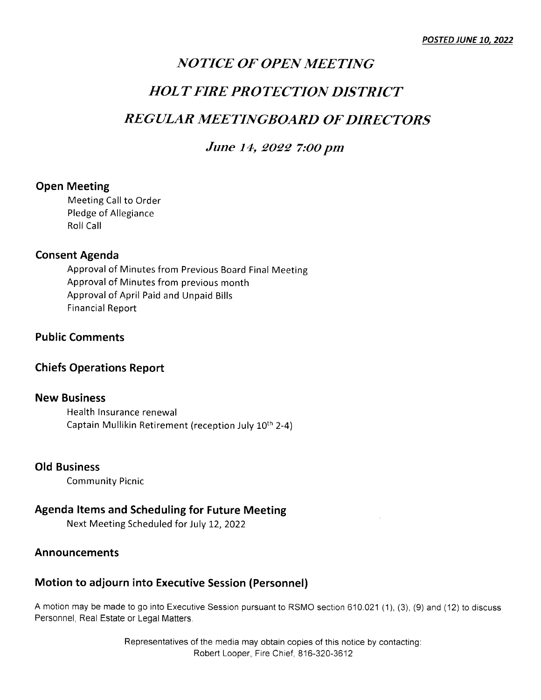### NOTICE OF OPEN MEETING

### HOLT FIRE PROTECTION DISTRICT

### REGULAR MEETINGBOARD OF DIRECTORS

### June 14, 2022 7:00 pm

### Open Meeting

Meeting Call to Order Pledge of Allegiance Roll Call

### Consent Agenda

Approval of Minutes from Previous Board Final Meeting Approval of Minutes from previous month Approvalof April Paid and Unpaid Bills Financial Report

### Public Comments

### Chiefs Operations Report

### New Business

Health lnsurance renewal Captain Mullikin Retirement (reception July 10th 2-4)

### OId Business

Community Picnic

### Agenda ltems and Scheduling for Future Meeting

Next Meeting Scheduled for July L2,2022

### Announcements

### Motion to adjourn into Executive Session (Personnel)

A motion may be made to go into Executive Session pursuant to RSMO section 610.021(1), (3), (9) and (12) to discuss Personnel, Real Estate or Legal Matters

> Representatives of the media may obtain copies of this notice by contacting: Robert Looper, Fire Chief, 816-320-3612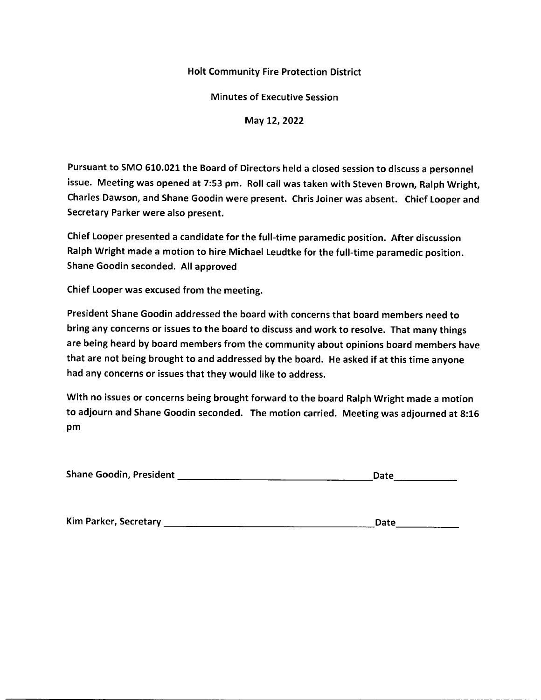Minutes of Executive Session

May 12, 2022

Pursuant to SMO 610.021 the Board of Directors held a closed session to discuss a personnel issue. Meeting was opened at 7:53 pm. Roll call was taken with Steven Brown, Ralph Wright, Charles Dawson, and Shane Goodin were present. Chris Joiner was absent. Chief Looper and Secretary Parker were also present.

Chief Looper presented a candidate for the full-time paramedic position. After discussion Ralph Wright made a motion to hire Michael Leudtke for the ful!-time paramedic position. Shane Goodin seconded. All approved

Chief Looper was excused from the meeting.

President Shane Goodin addressed the board with concerns that board members need to bring any concerns or issues to the board to discuss and work to resolve. That many things are being heard by board members from the community about opinions board members have that are not being brought to and addressed by the board. He asked if at this time anyone had any concerns or issues that they would like to address.

With no issues or concerns being brought forward to the board Ralph Wright made a motion to adjourn and Shane Goodin seconded. The motion carried. Meeting was adjourned at 8:1G pm

| <b>Shane Goodin, President</b> | Date |
|--------------------------------|------|
|--------------------------------|------|

| Kim Parker, Secretary | Date<br><b>CONTRACTOR</b> |  |
|-----------------------|---------------------------|--|
|                       |                           |  |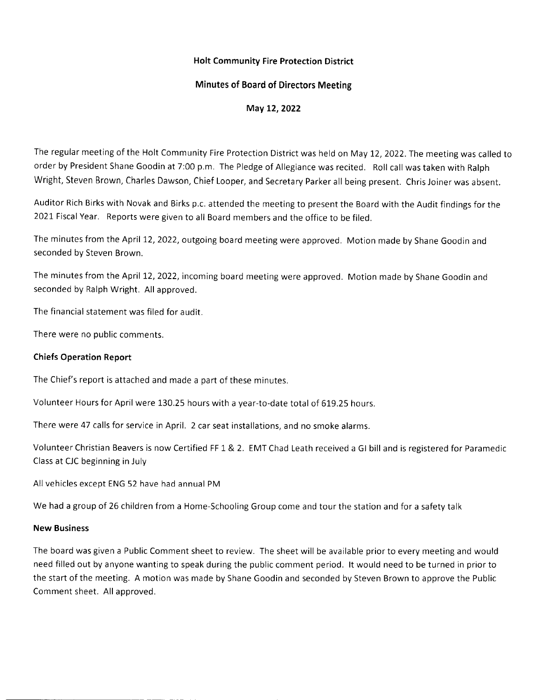### Minutes of Board of Directors Meeting

May 12, 2022

The regular meeting of the Holt Community Fire Protection District was held on May 12, 2022. The meeting was called to order by President Shane Goodin at 7:00 p.m. The Pledge of Allegiance was recited. Roll call was taken with Ralph Wright, Steven Brown, Charles Dawson, Chief Looper, and Secretary Parker all being present. Chris Joiner was absent.

Auditor Rich Birks with Novak and Birks p.c. attended the meeting to present the Board with the Audit findings for the 2021 Fiscal Year. Reports were given to all Board members and the office to be filed.

The minutes from the April 12, 2022, outgoing board meeting were approved. Motion made by Shane Goodin and seconded by Steven Brown.

The minutes from the April 12, 2022, incoming board meeting were approved. Motion made by Shane Goodin and seconded by Ralph Wright. All approved.

The financial statement was filed for audit.

There were no public comments.

### Chiefs Operation Report

The Chief's report is attached and made a part of these minutes.

Volunteer Hours for April were 130.25 hours with a year-to-date total of 619.25 hours.

There were 47 calls for service in April. 2 car seat installations, and no smoke alarms.

Volunteer Christian Beavers is now Certified FF 1 & 2. EMT Chad Leath received a Gl bill and is registered for Paramedic Class at CJC beginning in July

All vehicles except ENG 52 have had annual PM

We had a group of 26 children from a Home-Schooling Group come and tour the station and for a safety talk

### New Business

The board was given a Public Comment sheet to review. The sheet will be available prior to every meeting and would need filled out by anyone wanting to speak during the public comment period. lt would need to be turned in prior to the start of the meeting. A motion was made by Shane Goodin and seconded by Steven Brown to approve the Public Comment sheet. All approved.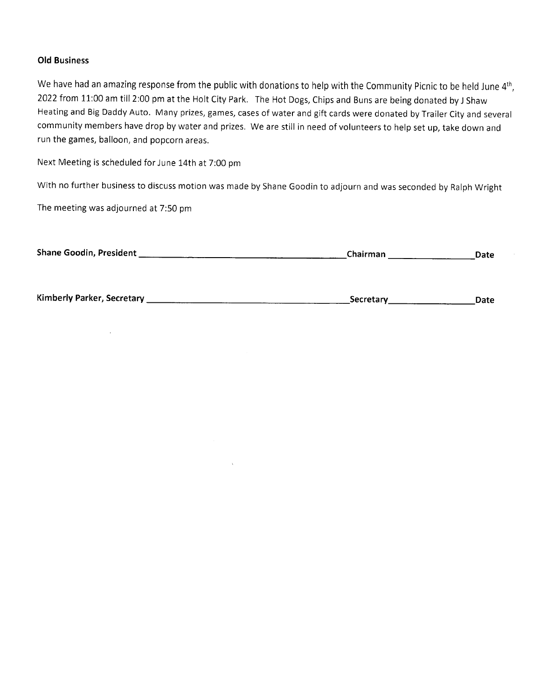### Old Business

We have had an amazing response from the public with donations to help with the Community Picnic to be held June 4<sup>th</sup>, 2022 from 11:00 am till 2:00 pm at the Holt City Park. The Hot Dogs, Chips and Buns are being donated by J Shaw Heating and Big Daddy Auto. Many prizes, games, cases of water and gift cards were donated by Trailer City and several community members have drop by water and prizes. We are still in need of volunteers to help set up, take down and run the games, balloon, and popcorn areas.

Next Meeting is scheduled for June 14th at 7:00 pm

with no further business to discuss motion was made by Shane Goodin to adjourn and was seconded by Ralph Wright

The meeting was adjourned at 7:50 pm

| <b>Shane Goodin, President</b> | Chairman<br>Date |
|--------------------------------|------------------|
|                                |                  |

 $\Delta$ 

Kimberly Parker, Secretary .Secretary Date

 $\sim 10^7$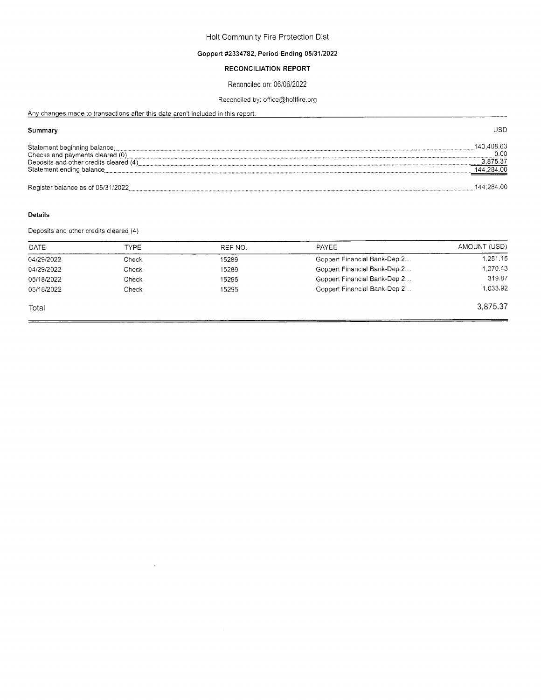### Goppert #2334782, Period Ending 0513112022

### RECONCILIATION REPORT

### Reconciled on, 0610612022

### Reconciled by: office@holtfire.org

USD

Any changes made to transactions after this date aren't included in this report.

### Summary

| Statement beginning balance<br>Checks and payments cleared (0)<br>Deposits and other credits cleared (4)<br>Statement ending balance | 140.408.63<br>0.00<br>3.875.37<br>144.284.00 |
|--------------------------------------------------------------------------------------------------------------------------------------|----------------------------------------------|
| Register balance as of 05/31/2022                                                                                                    | 144.284.00                                   |

### Details

Deposits and otner credits cleared (4)

| <b>TYPE</b> | REF NO. | PAYEE                        | AMOUNT (USD) |
|-------------|---------|------------------------------|--------------|
| Check       | 15289   | Goppert Financial Bank-Dep 2 | 1.251.15     |
| Check       | 15289   | Goppert Financial Bank-Dep 2 | 1,270.43     |
| Check       | 15295   | Goppert Financial Bank-Dep 2 | 319.87       |
| Check       | 15295   | Goppert Financial Bank-Dep 2 | 1.033.92     |
|             |         |                              | 3.875.37     |
|             |         |                              |              |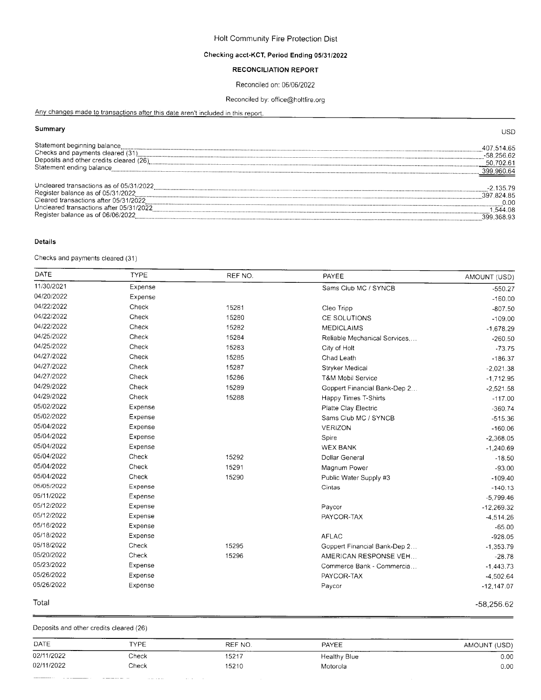### Checking acct-KCT, Period Ending 05/31/2022

### RECONCILIATION REPORT

### Reconciled on: 06/06/2022

### Reconciled by: office@holtfire.org

Anv chanqes made to transaclions after this date aren't included in this report.

### Summary

|                                         | ---          |
|-----------------------------------------|--------------|
| Statement beginning balance             | 407.514.65   |
| Checks and payments cleared (31)        | $-58.256.62$ |
| Deposits and other credits cleared (26) | 702.61       |
| Statement ending balance                | 399,960.64   |
|                                         |              |
| Uncleared transactions as of 05/31/2022 | 135.79       |
| Register balance as of 05/31/2022       | 397 824 85   |
| Cleared transactions after 05/31/2022   | ი იი         |
| Uncleared transactions after 05/31/2022 | .544.08      |
| Register balance as of 06/06/2022       | 399 368 93   |

### Details

Checks and payments cleared (31 )

| DATE       | <b>TYPE</b> | REF NO. | PAYEE                         | AMOUNT (USD) |
|------------|-------------|---------|-------------------------------|--------------|
| 11/30/2021 | Expense     |         | Sams Club MC / SYNCB          | $-550.27$    |
| 04/20/2022 | Expense     |         |                               | $-160.00$    |
| 04/22/2022 | Check       | 15281   | Cleo Tripp                    | $-807.50$    |
| 04/22/2022 | Check       | 15280   | CE SOLUTIONS                  | $-109.00$    |
| 04/22/2022 | Check       | 15282   | <b>MEDICLAIMS</b>             | $-1,678.29$  |
| 04/25/2022 | Check       | 15284   | Reliable Mechanical Services, | $-260.50$    |
| 04/25/2022 | Check       | 15283   | City of Holt                  | $-73.75$     |
| 04/27/2022 | Check       | 15285   | Chad Leath                    | $-186.37$    |
| 04/27/2022 | Check       | 15287   | Stryker Medical               | $-2,021.38$  |
| 04/27/2022 | Check       | 15286   | T&M Mobil Service             | $-1,712.95$  |
| 04/29/2022 | Check       | 15289   | Goppert Financial Bank-Dep 2  | $-2,521.58$  |
| 04/29/2022 | Check       | 15288   | Happy Times T-Shirts          | $-117.00$    |
| 05/02/2022 | Expense     |         | Platte Clay Electric          | $-360.74$    |
| 05/02/2022 | Expense     |         | Sams Club MC / SYNCB          | $-515.36$    |
| 05/04/2022 | Expense     |         | VERIZON                       | $-160.06$    |
| 05/04/2022 | Expense     |         | Spire                         | $-2,368.05$  |
| 05/04/2022 | Expense     |         | <b>WEX BANK</b>               | $-1,240.69$  |
| 05/04/2022 | Check       | 15292   | Dollar General                | $-18.50$     |
| 05/04/2022 | Check       | 15291   | Magnum Power                  | $-93.00$     |
| 05/04/2022 | Check       | 15290   | Public Water Supply #3        | $-109.40$    |
| 05/05/2022 | Expense     |         | Cintas                        | $-140.13$    |
| 05/11/2022 | Expense     |         |                               | $-5,799.46$  |
| 05/12/2022 | Expense     |         | Paycor                        | $-12,269.32$ |
| 05/12/2022 | Expense     |         | PAYCOR-TAX                    | $-4,514.26$  |
| 05/16/2022 | Expense     |         |                               | $-65.00$     |
| 05/18/2022 | Expense     |         | <b>AFLAC</b>                  | $-928.05$    |
| 05/18/2022 | Check       | 15295   | Goppert Financial Bank-Dep 2  | $-1,353.79$  |
| 05/20/2022 | Check       | 15296   | AMERICAN RESPONSE VEH         | $-28.78$     |
| 05/23/2022 | Expense     |         | Commerce Bank - Commercia     | $-1,443.73$  |
| 05/26/2022 | Expense     |         | PAYCOR-TAX                    | $-4,502.64$  |
| 05/26/2022 | Expense     |         | Paycor                        | $-12,147.07$ |
| Total      |             |         |                               | $-58,256.62$ |

Deposits and other credits cleared (26)

 $\label{eq:reduced} \begin{split} \mathcal{L}_{\text{c}}(t) = \mathcal{L}_{\text{c}}(t) = \mathcal{L}_{\text{c}}(t) = \mathcal{L}_{\text{c}}(t) = \mathcal{L}_{\text{c}}(t) = \mathcal{L}_{\text{c}}(t) = \mathcal{L}_{\text{c}}(t) = \mathcal{L}_{\text{c}}(t) = \mathcal{L}_{\text{c}}(t) = \mathcal{L}_{\text{c}}(t) = \mathcal{L}_{\text{c}}(t) = \mathcal{L}_{\text{c}}(t) = \mathcal{L}_{\text{c}}(t) = \mathcal{L}_{\text{c}}($ 

 $\omega$  and  $\omega$  and  $\omega$ 

 $\sim 10^4$  km s  $^{-1}$  km

| DATE       | TYPE  | REF NO. | ---------<br>PAYEE  | AMOUNT (USD) |
|------------|-------|---------|---------------------|--------------|
| 02/11/2022 | Check | 15217   | <b>Healthy Blue</b> | 0.00         |
| 02/11/2022 | Check | 15210   | Motorola            | 0.00         |

USD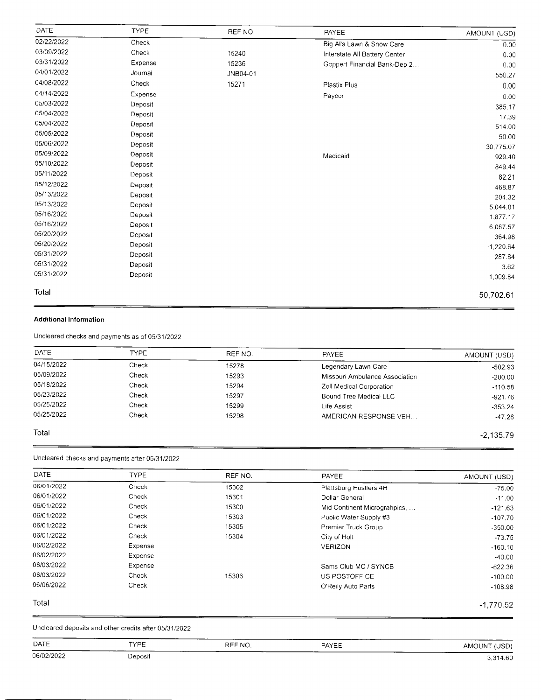| DATE       | <b>TYPE</b> | REF NO.  | PAYEE                         | AMOUNT (USD) |
|------------|-------------|----------|-------------------------------|--------------|
| 02/22/2022 | Check       |          | Big Al's Lawn & Snow Care     | 0.00         |
| 03/09/2022 | Check       | 15240    | Interstate All Battery Center | 0.00         |
| 03/31/2022 | Expense     | 15236    | Goppert Financial Bank-Dep 2  | 0.00         |
| 04/01/2022 | Journal     | JNB04-01 |                               | 550.27       |
| 04/08/2022 | Check       | 15271    | Plastix Plus                  | 0.00         |
| 04/14/2022 | Expense     |          | Paycor                        | 0.00         |
| 05/03/2022 | Deposit     |          |                               | 385.17       |
| 05/04/2022 | Deposit     |          |                               | 17.39        |
| 05/04/2022 | Deposit     |          |                               | 514.00       |
| 05/05/2022 | Deposit     |          |                               | 50.00        |
| 05/06/2022 | Deposit     |          |                               | 30,775.07    |
| 05/09/2022 | Deposit     |          | Medicaid                      | 929.40       |
| 05/10/2022 | Deposit     |          |                               | 849.44       |
| 05/11/2022 | Deposit     |          |                               | 82.21        |
| 05/12/2022 | Deposit     |          |                               | 468.87       |
| 05/13/2022 | Deposit     |          |                               | 204.32       |
| 05/13/2022 | Deposit     |          |                               | 5,044.81     |
| 05/16/2022 | Deposit     |          |                               | 1,877.17     |
| 05/16/2022 | Deposit     |          |                               | 6,067.57     |
| 05/20/2022 | Deposit     |          |                               | 364.98       |
| 05/20/2022 | Deposit     |          |                               | 1,220.64     |
| 05/31/2022 | Deposit     |          |                               | 287.84       |
| 05/31/2022 | Deposit     |          |                               | 3.62         |
| 05/31/2022 | Deposit     |          |                               | 1,009.84     |
| Total      |             |          |                               | 50,702.61    |
|            |             |          |                               |              |

### Additional lnformation

Uncleared checks and payments as of 05/31/2022

| DATE       | <b>TYPF</b> | REF NO. | <b>PAYEE</b>                   | AMOUNT (USD) |
|------------|-------------|---------|--------------------------------|--------------|
| 04/15/2022 | Check       | 15278   | Legendary Lawn Care            | $-502.93$    |
| 05/09/2022 | Check       | 15293   | Missouri Ambulance Association | $-200.00$    |
| 05/18/2022 | Check       | 15294   | Zoll Medical Corporation       | $-110.58$    |
| 05/23/2022 | Check       | 15297   | Bound Tree Medical LLC         | $-921.76$    |
| 05/25/2022 | Check       | 15299   | Life Assist                    | $-353.24$    |
| 05/25/2022 | Check       | 15298   | AMERICAN RESPONSE VEH          | $-47.28$     |

-2,135.79

### Total

Uncleared checks and payments aflet 0513112022

| AMOUNT (USD) | PAYEE                        | REF NO. | <b>TYPE</b> | DATE       |
|--------------|------------------------------|---------|-------------|------------|
| $-75.00$     | Plattsburg Hustlers 4H       | 15302   | Check       | 06/01/2022 |
| $-11.00$     | Dollar General               | 15301   | Check       | 06/01/2022 |
| $-121.63$    | Mid Continent Micrograhpics, | 15300   | Check       | 06/01/2022 |
| $-107.70$    | Public Water Supply #3       | 15303   | Check       | 06/01/2022 |
| $-350.00$    | Premier Truck Group          | 15305   | Check       | 06/01/2022 |
| $-73.75$     | City of Holt                 | 15304   | Check       | 06/01/2022 |
| $-160.10$    | <b>VERIZON</b>               |         | Expense     | 06/02/2022 |
| $-40.00$     |                              |         | Expense     | 06/02/2022 |
| $-622.36$    | Sams Club MC / SYNCB         |         | Expense     | 06/03/2022 |
| $-100.00$    | US POSTOFFICE                | 15306   | Check       | 06/03/2022 |
| $-108.98$    | O'Reily Auto Parts           |         | Check       | 06/06/2022 |
| $-1,770.52$  |                              |         |             | Total      |

Uncleared deposits and other credits after 0513112022

| <b>DATE</b> | -----<br><b>TYPE</b> | _____<br>REF NO. | PAYEE | AMOUNT (USD) |
|-------------|----------------------|------------------|-------|--------------|
| 06/02/2022  | Deposit              |                  |       | 3,314.60     |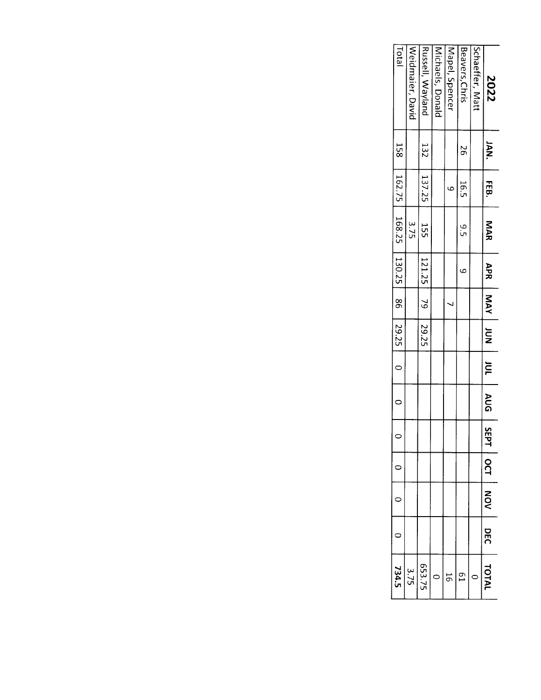| Fotal<br>Weidmaier, David                       |      | Russell, Wayland                                                             | Michaels, Donald | Mapel, Spencer | Beavers, Chris | Schaeffer, Matt | 2022           |
|-------------------------------------------------|------|------------------------------------------------------------------------------|------------------|----------------|----------------|-----------------|----------------|
|                                                 |      |                                                                              |                  |                | 97             |                 | <b>IAN.</b>    |
|                                                 |      |                                                                              |                  | $\circ$        | 16.5           |                 | <b>FEB</b>     |
|                                                 | 3.75 | 132   137.25   155                                                           |                  |                | .<br>თ         |                 | MAR            |
| 158   162.75   168.25   130.25   86   29.25   0 |      | $\begin{array}{ c c c c c } \hline 121.25 & 79 & 29.25 \ \hline \end{array}$ |                  |                | م<br>م         |                 | APR            |
|                                                 |      |                                                                              |                  |                |                |                 | NOT AVW        |
|                                                 |      |                                                                              |                  |                |                |                 |                |
|                                                 |      |                                                                              |                  |                |                |                 | $\overline{P}$ |
| $\overline{a}$                                  |      |                                                                              |                  |                |                |                 | AUG   SEP      |
| $\circ$                                         |      |                                                                              |                  |                |                |                 |                |
|                                                 |      |                                                                              |                  |                |                |                 | <b>OCT</b>     |
|                                                 |      |                                                                              |                  |                |                |                 | NON            |
|                                                 |      |                                                                              |                  |                |                |                 | DEC            |
| 734.5                                           | 3.75 | 653.75                                                                       |                  |                | g              |                 | TOTAL          |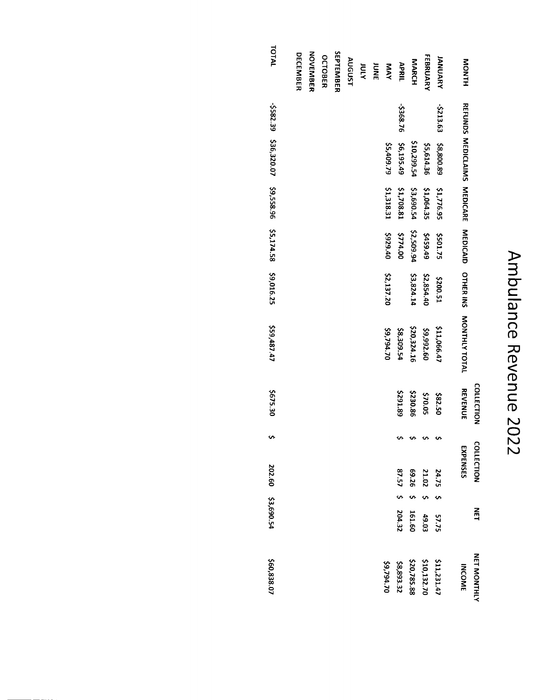# Ambulance Revenue 2022

|                     |           |                             |            |            |            |                  | <b>COLLECTION</b> | <b>COLLECTION</b> |        | NET            | <b>NET MONTHL'</b> |
|---------------------|-----------|-----------------------------|------------|------------|------------|------------------|-------------------|-------------------|--------|----------------|--------------------|
| <b>NONTH</b>        |           | REFUNDS MEDICLAIMS MEDICARE |            | MEDICAID   | OTHER INS  | MONTHLY TOTAL    | <b>REVENUE</b>    | EXPENSES          |        |                | <b>INCOME</b>      |
| <b>JANUARY</b>      | -\$213.63 | \$8,800.89                  | \$1,776.95 | \$501.75   | \$200.51   | \$11,066.47      | \$82.50           | 24.75             |        |                | \$11,231.47        |
| <b>FEBRUARY</b>     |           | \$5,614.36                  | \$1,064.35 | 6459.49    | \$2,854.40 | \$9,992.60       | \$70.05           | 21.02             | $\sim$ | 57.75<br>49.03 | \$10,132.70        |
| <b>MARCH</b>        |           | \$10,299.54                 | \$3,690.54 | \$2,509.94 | \$3,824.14 | \$20,324.16      | \$230.86          | 69.26             | $\sim$ | 161.60         | \$20,785.88        |
| APRIL               | \$368.76  | \$6,195.49                  | \$1,708.81 | \$774.00   |            | <b>42,309.54</b> | \$291.89          | 87.575            |        | 204.32         | \$8,893.32         |
| <b>NAY</b>          |           | \$5,409.79                  | \$1,318.31 | 01 626\$   | \$2,137.20 | \$9,794.70       |                   |                   |        |                | 59,794.70          |
| <b>ATOL</b><br>BNDL |           |                             |            |            |            |                  |                   |                   |        |                |                    |
|                     |           |                             |            |            |            |                  |                   |                   |        |                |                    |
| AUGUST              |           |                             |            |            |            |                  |                   |                   |        |                |                    |
| SEPTEMBER           |           |                             |            |            |            |                  |                   |                   |        |                |                    |
| OCTOBER             |           |                             |            |            |            |                  |                   |                   |        |                |                    |
| <b>NOVEMBER</b>     |           |                             |            |            |            |                  |                   |                   |        |                |                    |
| <b>DECEMBER</b>     |           |                             |            |            |            |                  |                   |                   |        |                |                    |

TOTAL 582.39 \$36,320.07 \$9,558.96 \$5,174.58 \$9,016.25 \$59,487.47 \$675.30  $\bullet$ 202.60 \$3,690.54 \$60,838.07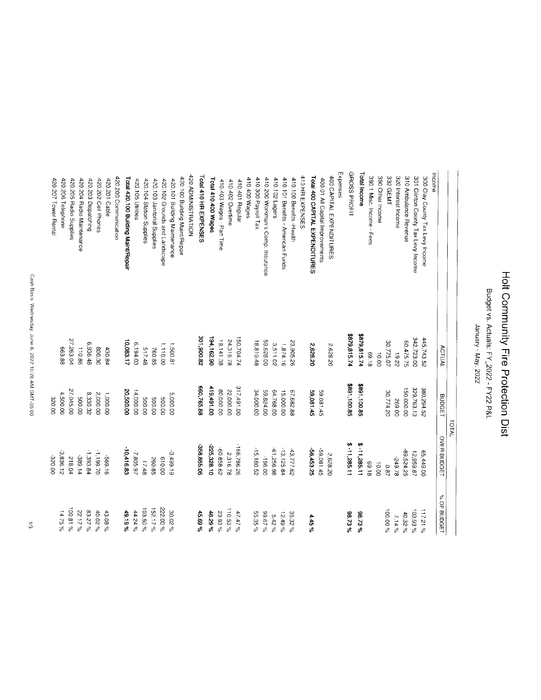Budget vs. Actuals: FY\_2022 - FY22 P&L

January - May, 2022

|                                     |               |               | TOTAL          |             |
|-------------------------------------|---------------|---------------|----------------|-------------|
|                                     | <b>ACTUAL</b> | <b>BUDGET</b> | OVER BUDGET    | % OF BUDGET |
| Income                              |               |               |                |             |
| 300 Clay County Tax Levy Income     | 445,743.52    | 380,294.52    | 65,449.00      | 117.21%     |
| 301 Clinton County Tax Levy Income  | 342,72300     | 329,763.13    | 12,959.87      | 103.93%     |
| 310 Ambulance Revenue               | 60,475.75     | 150,000.00    | 89,524.25      | 40.32%      |
| 320 Interest Income                 | 23.22         | 269.00        | 84.9.78        | $7.14\%$    |
| 332 GEMT                            | 30,775.07     | 30,774.20     | 78.0           | 100.00%     |
| 390 Other Income                    | 00'01         |               | 10.00          |             |
| 390.1 Misc. Income - Fees           | 81.69         |               | 81.69          |             |
| Total Income                        | 679,815.74    | \$891,100.85  | \$-11,285.11   | 98.73%      |
| GROSS PROFIT                        | \$879,815.74  | \$891,100.85  | $$ -11,285.11$ | 98.73%      |
| Expenses                            |               |               |                |             |
| 400 CAPITAL EXPENDITURES            | 2,628.20      |               | 2,628.20       |             |
| 400.01 All Capital Improvements     |               | 59,081.45     | -59,081.45     |             |
| Total 400 CAPITAL EXPENDITURES      | 2,628.20      | 59,081.45     | -56.453.25     | 4.45%       |
| 410 HR EXPENSES                     |               |               |                |             |
| 410.100 Benefits - Health           | 23,905.26     | 67,682.88     | 43,777.62      | 35.32%      |
| 410.101 Benefits - American Funds   | 1,874.16      | 15,000.00     | $-13, 125.84$  | $12.49\%$   |
| 410.102 Lagers                      | 3.511.02      | 64,768.00     | -61,256.98     | $5.42\%$    |
| 410.200 Workman's Comp. Insurance   | 59,628.00     | 59,824.00     | 196.00         | % 29.62     |
| 410.300 Payroll Tax                 | 18,819.48     | 34,000.00     | $-15, 180.52$  | 55.35%      |
| 410.400 Wages                       |               |               |                |             |
| 410.401 Regular                     | 150,704.74    | 317,491.00    | 166,786.26     | $47.47\%$   |
| 410.402 Overtime                    | 24,316.78     | 22,000.00     | 2,316.78       | 110.53%     |
| 410.403 Wages - Part Time           | 19,141.38     | 80,000.00     | -60,858.62     | 23.93%      |
| Total 410.400 Wages                 | 194,162.90    | 419,491.00    | 225,328.10     | 46.29%      |
| Total 410 HR EXPENSES               | 28.008,108    | 660,765.88    | -358,865.06    | 45.69%      |
| 420 ADMINISTRATION                  |               |               |                |             |
| 420.100 Building Maint/Repair       |               |               |                |             |
| 420.101 Building Maintenance        | 1,500.81      | 5,000.00      | 3,499.19       | 30.02%      |
| 420.102 Grounds and Landscape       | 1.110.00      | 00'009        | 610.00         | 222.00%     |
| 420.103 Janitorial Supplies         | 760.85        | 00'009        | 260.85         | 152.17%     |
| 420.104 Station Supplies            | 517.48        | 00'005        | 17.48          | 103.50%     |
| 420.105 Utilities                   | 6,194.03      | 14,000.00     | 7,805.97       | $44.24\%$   |
| Total 420.100 Building Maint/Repair | 10,083.17     | 00.000.00     | $-10,416.83$   | 49.19%      |
| 420.200 Communication               |               |               |                |             |
| 420.201 Cable                       | 430.84        | 1,000.00      | 91'699-        | 43.08%      |
| 420.202 Cell Phones                 | 800.30        | 2,000.00      | 02.661'1       | 40.02%      |
| 420.203 Dispatching                 | 6,936.48      | 8,330.32      | 1,393.84       | 83.27%      |
| 420.204 Radio Maintenance           | 110.86        | 00'005        | -389.14        | 22.17%      |
| 420.205 Radio Supplies              | 27.263.04     | 27,045.00     | 218.04         | $100.81\%$  |
| 420.206 Telephone                   | 663.88        | 4,500.00      | 3.836.12       | $14.75\%$   |
| 420.207 Tower Rental                |               | 320.00        | 320.00         |             |
|                                     |               |               |                |             |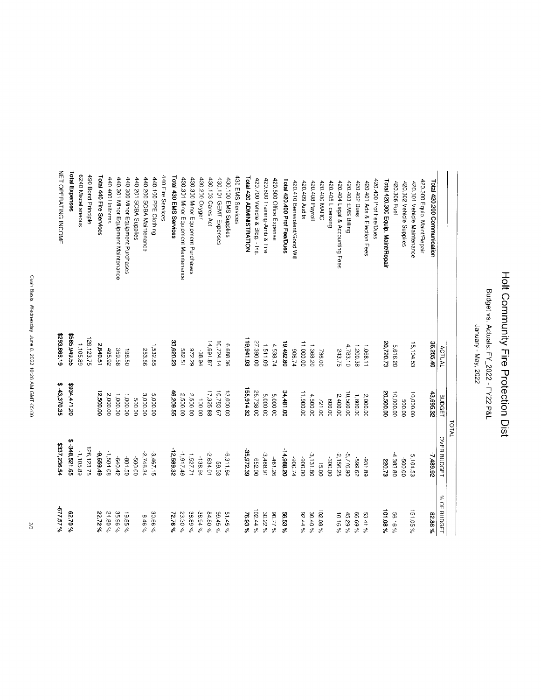Budget vs. Actuals: FY\_2022 - FY22 P&L

January - May, 2022

| %157.5%     | \$337,236.54       | \$ 43,370.35  | \$293,866.19 | <b>NET OPERATING INCOME</b>         |
|-------------|--------------------|---------------|--------------|-------------------------------------|
| %02'39      | Đ,<br>348,521.65   | 021471.20     | \$585,949.55 | Total Expenses                      |
|             | 1,105.89           |               | -1,105.89    | 6240 Miscellaneous                  |
|             | 126,123.75         |               | 126, 123.75  | 490 Bond Principle                  |
| 22.72%      | 67659.49           | 12,500.00     | 2,840.51     | Total 440 Fire Services             |
| 24.80%      | -1,504.08          | 2,000.00      | 495.92       | 440.400 Uniforms                    |
| 35.96%      | 240.42             | 1,000.00      | 359.58       | 440.301 Minor Equipment Maintenance |
| 19.85%      | 03.108             | 1,000.00      | 198.50       | 440.300 Minor Equipment Purchases   |
|             | 00.003-            | 00'005        |              | 440.201 SCBA Supplies               |
| $8.46\%$    | -2,746.34          | 3,000.00      | 253.66       | 440.200 SCBA Maintenance            |
| 30.66%      | 3,467.15           | 5,000.00      | 1,532.85     | 440.100 PPE Clothing                |
|             |                    |               |              | 440 Fire Services                   |
| 72.76%      | 12,589.32          | 46,209.55     | 33,620.23    | Total 430 EMS Services              |
| 23.30%      | -1,917.49          | 2,500.00      | 582.51       | 430.301 Minor Equipment Maintenance |
| 38.89%      | -1,527.71          | 2,500.00      | 62 226       | 430.300 Minor Equipment Purchases   |
| 38.94%      | 138.94             | 100.00        | .38.94       | 430.200 Oxygen                      |
| 84.80%      | $-2,634.01$        | 17,325.88     | 14,691.87    | 430.103 Cares Act                   |
| % 54.6%     | 59.53              | 10,783.67     | 10,724.14    | 430.101 GEMT Expenses               |
| $51.45\%$   | 6,311.64           | 13,000.00     | 6,688.36     | 430.100 EMS Supplies                |
|             |                    |               |              | 430 EMS Services                    |
| 76.93%      | 35,972.39          | 155,914.32    | 119,941.93   | Total 420 ADMINISTRATION            |
| $102.44\%$  | 00'799             | 26,738.00     | 27,390.00    | 420.700 Vehicle & Bldg. - Ins       |
| 30.22%      | 3,488.91           | 5,000.00      | 1.511.09     | 420.600 Training-Amb & Fire         |
| % 17.08     | -461.26            | 5,000.00      | 4,538.74     | 420.500 Office Expense              |
| 56.53%      | 14,988.20          | 34,481.00     | 19,492.80    | Total 420.400 Prof Fee/Dues         |
|             | +2.306-            |               | +2.906       | 420.410 Benevolent/Good Will        |
| 92.44%      | 00'006-            | 11,900.00     | 11,000.00    | 420.409 Audits                      |
| 30.40%      | $-3,131.80$        | 4,500.00      | 1,368.20     | 420.408 Payroll                     |
| $02.08\%$   | 15.00              | 721.00        | 736.00       | 420.406 MARC                        |
|             | 00'009-            | 00'009        |              | 420.405 Licensing                   |
| $10.16\%$   | $-2,156.25$        | 2,400.00      | 243.75       | 420.404 Legal & Accounting Fees     |
| 45.29%      | 06.3776.90         | 10,560.00     | 4,783.10     | 420.403 EMS Billing                 |
| % 69.99     | 29.65              | 1,800.00      | 1.200.38     | 420.402 Dues                        |
| 53.41%      | -931.89            | 2,000.00      | 1.068.11     | 420.401 Ads & Election Fees         |
|             |                    |               |              | 420.400 Prof Fee/Dues               |
| 101.08%     | 220.73             | 20,500.00     | 20,720.73    | Total 420.300 Equip. Maint/Repair   |
| 56.16%      | 4,383.80           | 10,000.00     | 5,616.20     | 420.306 Fuel                        |
|             | 00'005             | 00'005        |              | 420.302 Vehicle Supplies            |
| % 50 51     | 5,104.53           | 10,000.00     | 15,104.53    | 420.301 Vehicle Maintenance         |
|             |                    |               |              | 420.300 Equip. Maint/Repair         |
| 82.86%      | 7,489.92           | 43,695.32     | 36,205.40    | Total 420.200 Communication         |
| % OF BUDGET | <b>OVER BUDGET</b> | <b>BUDGET</b> | ACTUAL       |                                     |
|             | <b>TOTAL</b>       |               |              |                                     |
|             |                    |               |              |                                     |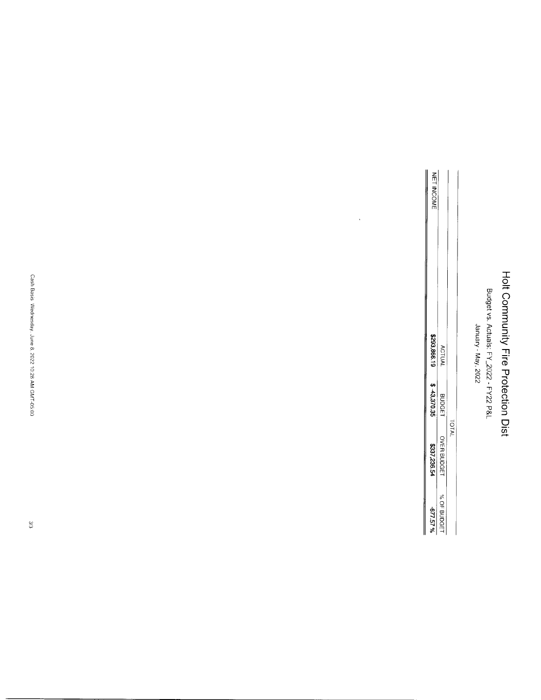Budget vs. Actuals: FY\_2022 - FY22 P&L<br>January - May, 2022

| <b>HET INCOMI</b> |               |          |
|-------------------|---------------|----------|
| 1998,865          | <b>ACTUA</b>  |          |
| $$-43.370.35$     | <b>BUDGET</b> |          |
| 1237,236.54       | OVER BUDGET   | ול<br>ול |
| 42757%            | % OF BUDGE    |          |

 $\ddot{\phantom{0}}$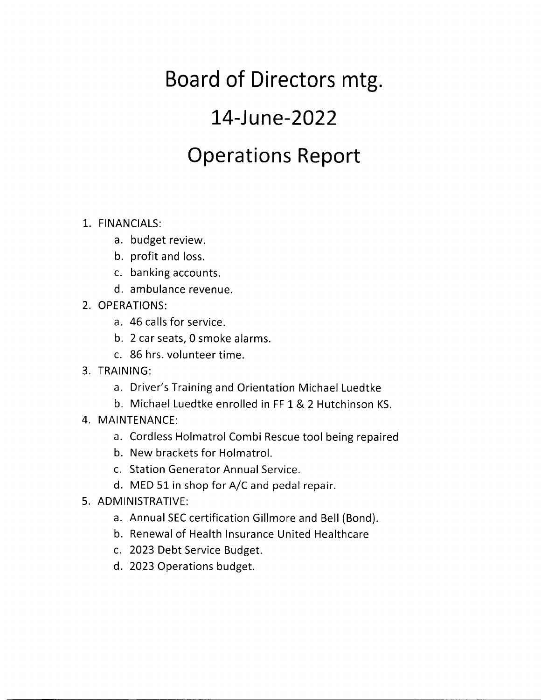## Board of Directors mtg.

## I4-June-2022

## Operations Report

### 1,. FINANCIALS:

- a. budget review.
- b. profit and loss.
- c. banking accounts.
- d. ambulance revenue.
- 2. OPERATIONS:
	- a. 46 calls for service.
	- b. 2 car seats, 0 smoke alarms.
	- c. 86 hrs. volunteer time.
- 3. TRAINING:
	- a. Driver's Training and Orientation Michael Luedtke
	- b. Michael Luedtke enrolled in FF 1& 2 Hutchinson KS.
- 4. MAINTENANCE:
	- a. Cordless Holmatrol Combi Rescue tool being repaired
	- b. New brackets for Holmatrol.
	- c. Station Generator Annual Service.
	- d. MED 51 in shop for A/C and pedal repair.
- 5. ADMINISTRATIVE:
	- a. Annual SEC certification Gillmore and Bell (Bond).
	- b. Renewal of Health lnsurance United Healthcare
	- c. 2023 Debt Service Budget.
	- d. 2023 Operations budget.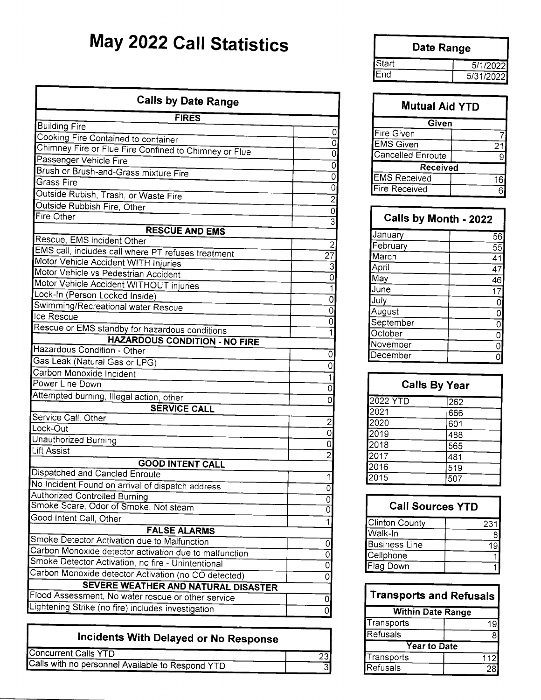## May 2022 Call Statistics

| <b>Calls by Date Range</b>                                          |                          |
|---------------------------------------------------------------------|--------------------------|
| <b>FIRES</b>                                                        |                          |
| <b>Building Fire</b>                                                |                          |
| Cooking Fire Contained to container                                 |                          |
| Chimney Fire or Flue Fire Confined to Chimney or Flue               |                          |
| Passenger Vehicle Fire                                              |                          |
| Brush or Brush-and-Grass mixture Fire                               | (                        |
| Grass Fire                                                          | (                        |
| Outside Rubish, Trash, or Waste Fire                                | $\overline{\phantom{a}}$ |
| Outside Rubbish Fire, Other                                         | C                        |
| Fire Other                                                          | G                        |
| <b>RESCUE AND EMS</b>                                               |                          |
| Rescue, EMS incident Other                                          | $\overline{2}$           |
| EMS call, includes call where PT refuses treatment                  | $\overline{27}$          |
| Motor Vehicle Accident WITH Injuries                                | $\overline{3}$           |
| Motor Vehicle vs Pedestrian Accident                                | 0                        |
| Motor Vehicle Accident WITHOUT injuries                             | $\overline{1}$           |
| Lock-In (Person Locked Inside)                                      | 0                        |
| Swimming/Recreational water Rescue                                  | $\mathbf 0$              |
| Ice Rescue                                                          | 0                        |
| Rescue or EMS standby for hazardous conditions                      | 1                        |
| <b>HAZARDOUS CONDITION - NO FIRE</b><br>Hazardous Condition - Other |                          |
|                                                                     | 0                        |
| Gas Leak (Natural Gas or LPG)<br>Carbon Monoxide Incident           | $\overline{0}$           |
| Power Line Down                                                     | 1                        |
|                                                                     | $\overline{0}$           |
| Attempted burning, Illegal action, other                            | 0                        |
| <b>SERVICE CALL</b><br>Service Call, Other                          |                          |
| Lock-Out                                                            | $\overline{\mathbf{c}}$  |
| Unauthorized Burning                                                | $\overline{0}$           |
| <b>Lift Assist</b>                                                  | $\overline{0}$           |
| <b>GOOD INTENT CALL</b>                                             | $\overline{2}$           |
| Dispatched and Cancled Enroute                                      |                          |
| No Incident Found on arrival of dispatch address                    | 1                        |
| <b>Authorized Controlled Burning</b>                                | 0                        |
| Smoke Scare, Odor of Smoke, Not steam                               | 0<br>$\overline{0}$      |
| Good Intent Call, Other                                             | $\overline{1}$           |
| <b>FALSE ALARMS</b>                                                 |                          |
| Smoke Detector Activation due to Malfunction                        | 0                        |
| Carbon Monoxide detector activation due to malfunction              | $\overline{0}$           |
| Smoke Detector Activation, no fire - Unintentional                  | $\overline{0}$           |
| Carbon Monoxide detector Activation (no CO detected)                | $\overline{0}$           |
| SEVERE WEATHER AND NATURAL DISASTER                                 |                          |
| Flood Assessment, No water rescue or other service                  | $\Omega$                 |
| ightening Strike (no fire) includes investigation                   | $\overline{0}$           |
|                                                                     |                          |

| Incidents With Delayed or No Response            |    |
|--------------------------------------------------|----|
| Concurrent Calls YTD                             | 23 |
| Calls with no personnel Available to Respond YTD |    |

|       | Date Range |
|-------|------------|
| Start | 5/1/2022   |
| End   | 5/31/2022  |

| <b>Mutual Aid YTD</b> |  |
|-----------------------|--|
| Given                 |  |
| Fire Given            |  |
| <b>EMS</b> Given      |  |
| Cancelled Enroute     |  |
| Received              |  |
| <b>EMS Received</b>   |  |
| <b>Fire Received</b>  |  |

| <b>Calls by Month - 2022</b> |                |
|------------------------------|----------------|
| January                      | 56             |
| February                     | 55             |
| March                        | 41             |
| April                        | 47             |
| May                          | 46             |
| June                         | 17             |
| July                         | 0              |
| August                       | $\overline{0}$ |
| September                    | $\overline{0}$ |
| October                      | $\overline{0}$ |
| November                     | $\overline{0}$ |
| December                     |                |

| <b>Calls By Year</b> |     |
|----------------------|-----|
| 2022 YTD             | 262 |
| 2021                 | 666 |
| 2020                 | 601 |
| 2019                 | 488 |
| 2018                 | 565 |
| 2017                 | 481 |
| 2016                 | 519 |
| 2015                 | 507 |

| <b>Call Sources YTD</b> |     |
|-------------------------|-----|
| Clinton County          | 231 |
| Walk-In                 |     |
| <b>Business Line</b>    |     |
| Cellphone               |     |
| Flag Down               |     |

| <b>Transports and Refusals</b> |     |  |  |  |
|--------------------------------|-----|--|--|--|
| <b>Within Date Range</b>       |     |  |  |  |
| Transports                     | 19  |  |  |  |
| Refusals                       |     |  |  |  |
| Year to Date                   |     |  |  |  |
| Transports                     | 112 |  |  |  |
| Refusals                       | ጋዶ  |  |  |  |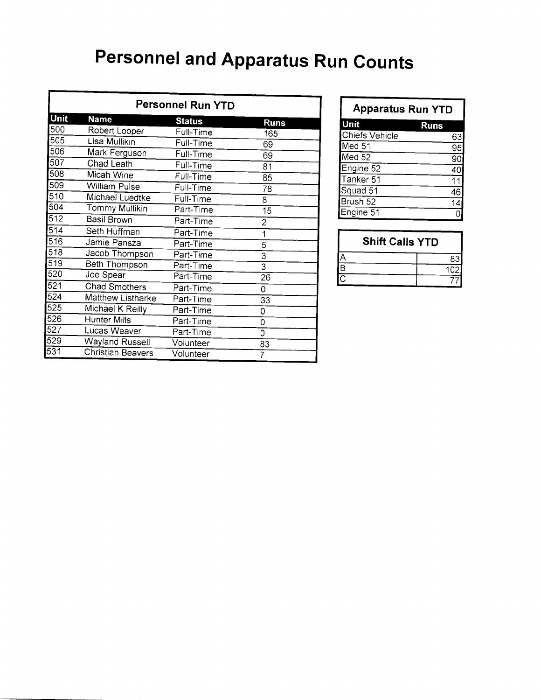## **Personnel and Apparatus Run Counts**

| <b>Personnel Run YTD</b> |                   |               |                         |  |  |  |  |
|--------------------------|-------------------|---------------|-------------------------|--|--|--|--|
| <b>Unit</b>              | <b>Name</b>       | <b>Status</b> | <b>Runs</b>             |  |  |  |  |
| 500                      | Robert Looper     | Full-Time     | 165                     |  |  |  |  |
| 505                      | Lisa Mullikin     | Full-Time     | 69                      |  |  |  |  |
| 506                      | Mark Ferguson     | Full-Time     | 69                      |  |  |  |  |
| 507                      | Chad Leath        | Full-Time     | 81                      |  |  |  |  |
| 508                      | Micah Wine        | Full-Time     | 85                      |  |  |  |  |
| 509                      | William Pulse     | Full-Time     | 78                      |  |  |  |  |
| 510                      | Michael Luedtke   | Full-Time     | 8                       |  |  |  |  |
| 504                      | Tommy Mullikin    | Part-Time     | 15                      |  |  |  |  |
| 512                      | Basil Brown       | Part-Time     | $\overline{2}$          |  |  |  |  |
| 514                      | Seth Huffman      | Part-Time     | 1                       |  |  |  |  |
| 516                      | Jamie Pansza      | Part-Time     | 5                       |  |  |  |  |
| 518                      | Jacob Thompson    | Part-Time     | $\overline{\mathbf{3}}$ |  |  |  |  |
| 519                      | Beth Thompson     | Part-Time     | $\overline{3}$          |  |  |  |  |
| 520                      | Joe Spear         | Part-Time     | $2\overline{6}$         |  |  |  |  |
| 521                      | Chad Smothers     | Part-Time     | 0                       |  |  |  |  |
| 524                      | Matthew Listharke | Part-Time     | 33                      |  |  |  |  |
| 525                      | Michael K Reilly  | Part-Time     | 0                       |  |  |  |  |
| 526                      | Hunter Mills      | Part-Time     | 0                       |  |  |  |  |
| 527                      | Lucas Weaver      | Part-Time     | 0                       |  |  |  |  |
| 529                      | Wayland Russell   | Volunteer     | 83                      |  |  |  |  |
| 531                      | Christian Beavers | Volunteer     | 7                       |  |  |  |  |

| <b>Apparatus Run YTD</b> |             |  |  |  |
|--------------------------|-------------|--|--|--|
| Unit                     | <b>Runs</b> |  |  |  |
| Chiefs Vehicle           | 63          |  |  |  |
| Med 51                   | 95          |  |  |  |
| Med <sub>52</sub>        | 9С          |  |  |  |
| Engine 52                | 40          |  |  |  |
| Tanker 51                | 11          |  |  |  |
| Squad 51                 | 46          |  |  |  |
| Brush 52                 | 14          |  |  |  |
| Engine 51                |             |  |  |  |

| <b>Shift Calls YTD</b> |     |  |  |  |  |
|------------------------|-----|--|--|--|--|
|                        |     |  |  |  |  |
| IВ                     | 102 |  |  |  |  |
|                        |     |  |  |  |  |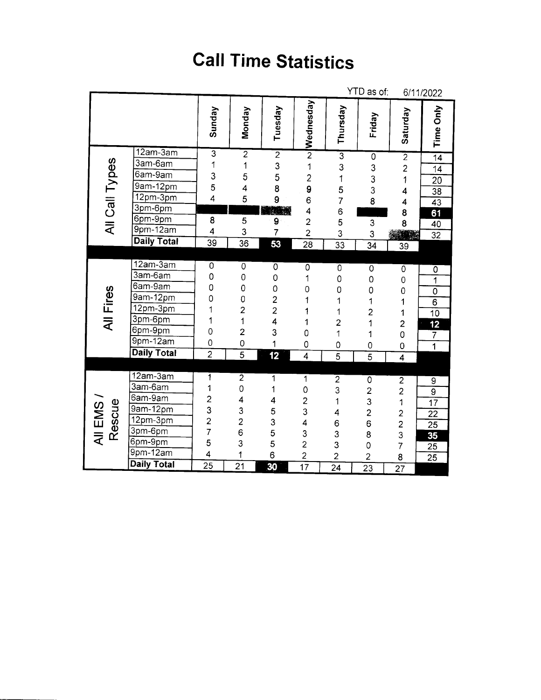## **Call Time Statistics**

|                   |                            |                                            |                 |                                            |                  |                         | YTD as of:                                 |                                                   | 6/11/2022                 |
|-------------------|----------------------------|--------------------------------------------|-----------------|--------------------------------------------|------------------|-------------------------|--------------------------------------------|---------------------------------------------------|---------------------------|
|                   |                            | Sunday                                     | Monday          | Tuesday                                    | <b>Nednesday</b> | Thursday                | Friday                                     | Saturday                                          | <b>Time Only</b>          |
|                   | $12am-3am$                 | $\overline{3}$                             | $\overline{2}$  | $\overline{2}$                             |                  |                         | $\overline{0}$                             | $\overline{2}$                                    | $\overline{14}$           |
|                   | 3am-6am                    | 1                                          | $\mathbf{1}$    | $\frac{3}{5}$                              | $\overline{1}$   | $\frac{1}{3}$ 3 1 5 7   |                                            | $\overline{a}$                                    | 14                        |
|                   | 6am-9am                    | $\begin{array}{c} 3 \\ 5 \\ 4 \end{array}$ | 5               |                                            | $\frac{2}{9}$    |                         | $\begin{array}{c} 3 \\ 3 \\ 3 \end{array}$ | 1                                                 | $\frac{20}{ }$            |
|                   | 9am-12pm                   |                                            | 4               | 8                                          |                  |                         |                                            | 4                                                 | $\overline{38}$           |
|                   | $12pm-3pm$                 |                                            | 5               | 9                                          | 6                |                         | 8                                          | 4                                                 | $\overline{43}$           |
| All Call Types    | 3pm-6pm                    |                                            |                 | <b>WARDER</b>                              | 4                | 6                       |                                            | 8                                                 | $\overline{61}$           |
|                   | 6pm-9pm                    | 8                                          | 5               | 9                                          | $\overline{2}$   | 5                       | 3                                          | 8                                                 | 40                        |
|                   | $9$ pm- $\overline{12}$ am | $\overline{\mathbf{4}}$                    | 3               | $\overline{7}$                             | $\overline{c}$   | 3                       | 3                                          |                                                   | $\overline{32}$           |
|                   | <b>Daily Total</b>         | 39                                         | $\overline{36}$ | 53                                         | $\overline{28}$  | $\overline{33}$         | $\overline{34}$                            | 39                                                |                           |
|                   |                            |                                            |                 |                                            |                  |                         |                                            |                                                   |                           |
|                   | $12am-3am$                 | $\overline{0}$                             | $\overline{0}$  | $\overline{0}$                             | 0                | $\overline{0}$          | 0                                          | 0                                                 | $\overline{0}$            |
|                   | 3am-6am                    | 0                                          | $\mathbf 0$     | 0                                          | 1                | $\mathbf 0$             | $\circ$                                    | $\mathbf 0$                                       | $\overline{\mathbf{1}}$   |
|                   | $6am-9am$                  | 0                                          | 0               | 0                                          | 0                | $\mathbf 0$             | 0                                          | $\mathbf 0$                                       | $\overline{\mathfrak{o}}$ |
| All Fires         | 9am-12pm                   | 0                                          | $\frac{0}{2}$   | $\begin{array}{c} 2 \\ 2 \\ 4 \end{array}$ | 1                | $\mathbf 1$             | 1                                          | 1                                                 | $\overline{6}$            |
|                   | $12pm-3pm$                 | 1                                          |                 |                                            | 1                | 1                       | $\overline{c}$                             | 1                                                 | $\overline{10}$           |
|                   | 3pm-6pm                    | 1                                          | $\overline{1}$  |                                            | 1                | $\overline{\mathbf{c}}$ | 1                                          | $\overline{\mathbf{c}}$                           | $\overline{\textbf{12}}$  |
|                   | 6pm-9pm                    | $\overline{0}$                             | $\overline{a}$  | 3                                          | 0                | 1                       | 1                                          | $\overline{0}$                                    | $\overline{7}$            |
|                   | $9pm-12am$                 | $\overline{0}$                             | $\overline{0}$  | 1                                          | 0                | 0                       | $\overline{0}$                             | 0                                                 | $\overline{\mathbf{1}}$   |
|                   | <b>Daily Total</b>         | $\overline{2}$                             | $\overline{5}$  | 12                                         | $\overline{4}$   | $\overline{5}$          | $\overline{5}$                             | 4                                                 |                           |
|                   |                            |                                            |                 |                                            |                  |                         |                                            |                                                   |                           |
|                   | $12am-3am$                 | 1                                          | $\overline{2}$  | 1                                          | 1                | $\overline{2}$          |                                            |                                                   | $\overline{9}$            |
|                   | 3am-6am                    | 1                                          | 0               | 1                                          | $\mathbf 0$      | 3                       |                                            | $\begin{array}{c} 2 \\ 2 \\ 1 \end{array}$        | $\overline{9}$            |
| All EMS<br>Rescue | 6am-9am                    | $\frac{2}{3}$                              | 4               | 4                                          | $\overline{c}$   | $\overline{1}$          |                                            |                                                   | $\overline{17}$           |
|                   | 9am-12pm                   |                                            | 3               | 5                                          | 3                | 4                       |                                            |                                                   | $\overline{22}$           |
|                   | 12pm-3pm                   | $\overline{2}$                             | $\overline{c}$  |                                            | 4                | 6                       |                                            |                                                   | $\overline{25}$           |
|                   | 3pm-6pm                    | 7                                          | 6               | $\begin{array}{c} 3 \\ 5 \\ 6 \end{array}$ | 3                | 3                       | 0232680                                    | $\begin{array}{c}\n2 \\ 2 \\ 3 \\ 7\n\end{array}$ | 35                        |
|                   | 6pm-9pm                    | 5                                          | 3               |                                            | $\overline{2}$   | 3                       |                                            |                                                   | $\overline{25}$           |
|                   | $9pm-12am$                 | 4                                          | 1               |                                            | $\overline{c}$   | $\overline{2}$          | $\overline{c}$                             | 8                                                 | 25                        |
|                   | Daily Total                | 25                                         | $\overline{21}$ | 30                                         | $\overline{17}$  | $\overline{24}$         | $\overline{23}$                            | $\overline{27}$                                   |                           |